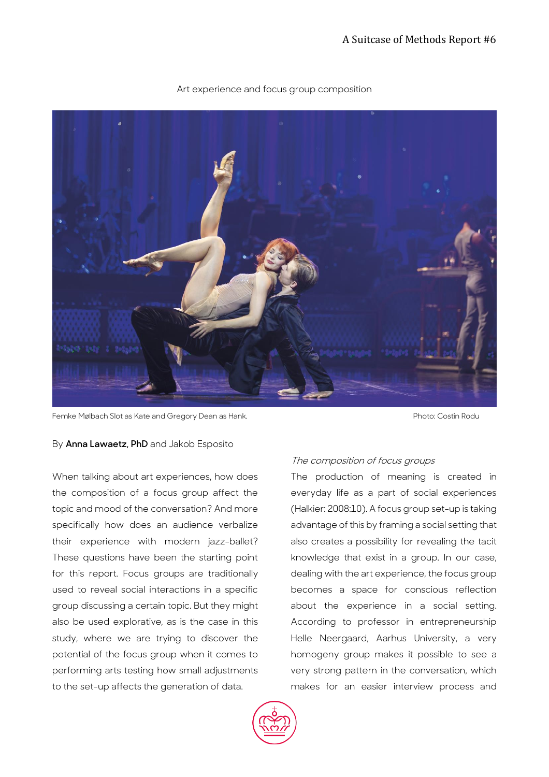

## Art experience and focus group composition

Femke Mølbach Slot as Kate and Gregory Dean as Hank. Photo: Costin Rodu

# By **Anna Lawaetz, PhD** and Jakob Esposito

When talking about art experiences, how does the composition of a focus group affect the topic and mood of the conversation? And more specifically how does an audience verbalize their experience with modern jazz-ballet? These questions have been the starting point for this report. Focus groups are traditionally used to reveal social interactions in a specific group discussing a certain topic. But they might also be used explorative, as is the case in this study, where we are trying to discover the potential of the focus group when it comes to performing arts testing how small adjustments to the set-up affects the generation of data.

# The composition of focus groups

The production of meaning is created in everyday life as a part of social experiences (Halkier: 2008:10). A focus group set-up is taking advantage of this by framing a social setting that also creates a possibility for revealing the tacit knowledge that exist in a group. In our case, dealing with the art experience, the focus group becomes a space for conscious reflection about the experience in a social setting. According to professor in entrepreneurship Helle Neergaard, Aarhus University, a very homogeny group makes it possible to see a very strong pattern in the conversation, which makes for an easier interview process and

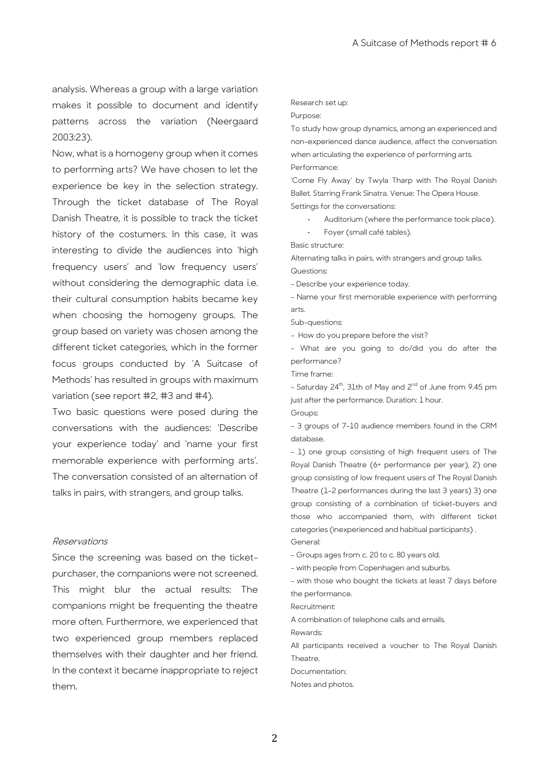analysis. Whereas a group with a large variation makes it possible to document and identify patterns across the variation (Neergaard 2003:23).

Now, what is a homogeny group when it comes to performing arts? We have chosen to let the experience be key in the selection strategy. Through the ticket database of The Royal Danish Theatre, it is possible to track the ticket history of the costumers. In this case, it was interesting to divide the audiences into 'high frequency users' and 'low frequency users' without considering the demographic data i.e. their cultural consumption habits became key when choosing the homogeny groups. The group based on variety was chosen among the different ticket categories, which in the former focus groups conducted by 'A Suitcase of Methods' has resulted in groups with maximum variation (see report #2, #3 and #4).

Two basic questions were posed during the conversations with the audiences: 'Describe your experience today' and 'name your first memorable experience with performing arts'. The conversation consisted of an alternation of talks in pairs, with strangers, and group talks.

#### Reservations

Since the screening was based on the ticketpurchaser, the companions were not screened. This might blur the actual results: The companions might be frequenting the theatre more often. Furthermore, we experienced that two experienced group members replaced themselves with their daughter and her friend. In the context it became inappropriate to reject them.

#### Research set up:

Purpose:

To study how group dynamics, among an experienced and non-experienced dance audience, affect the conversation when articulating the experience of performing arts. Performance:

'Come Fly Away' by Twyla Tharp with The Royal Danish Ballet. Starring Frank Sinatra. Venue: The Opera House. Settings for the conversations:

- Auditorium (where the performance took place).
- Foyer (small café tables).

Basic structure:

Alternating talks in pairs, with strangers and group talks. Questions:

- Describe your experience today.

- Name your first memorable experience with performing arts.

Sub-questions:

- How do you prepare before the visit?

- What are you going to do/did you do after the performance?

Time frame:

- Saturday 24<sup>th</sup>, 31th of May and 2<sup>nd</sup> of June from 9.45 pm just after the performance. Duration: 1 hour.

Groups:

- 3 groups of 7-10 audience members found in the CRM database.

- 1) one group consisting of high frequent users of The Royal Danish Theatre (6+ performance per year), 2) one group consisting of low frequent users of The Royal Danish Theatre (1-2 performances during the last 3 years) 3) one group consisting of a combination of ticket-buyers and those who accompanied them, with different ticket categories (inexperienced and habitual participants) . General:

- Groups ages from c. 20 to c. 80 years old.

- with people from Copenhagen and suburbs.

- with those who bought the tickets at least 7 days before the performance.

Recruitment:

A combination of telephone calls and emails.

Rewards:

All participants received a voucher to The Royal Danish Theatre.

Documentation:

Notes and photos.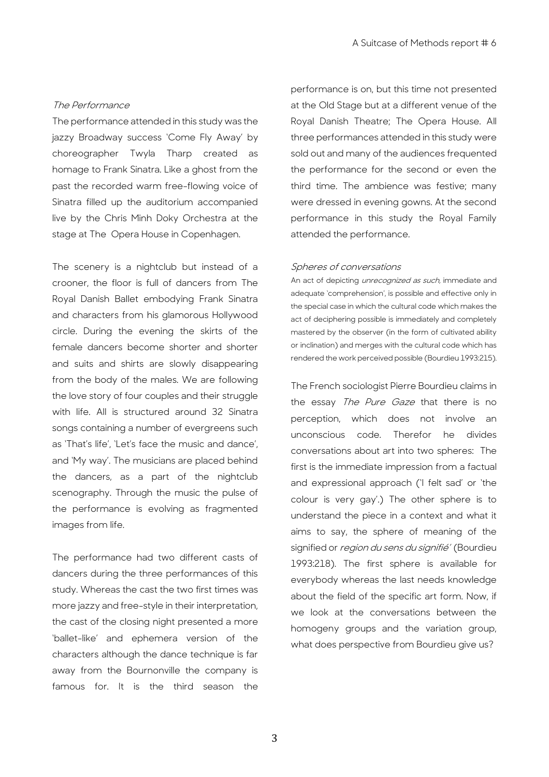### The Performance

The performance attended in this study was the jazzy Broadway success 'Come Fly Away' by choreographer Twyla Tharp created as homage to Frank Sinatra. Like a ghost from the past the recorded warm free-flowing voice of Sinatra filled up the auditorium accompanied live by the Chris Minh Doky Orchestra at the stage at The Opera House in Copenhagen.

The scenery is a nightclub but instead of a crooner, the floor is full of dancers from The Royal Danish Ballet embodying Frank Sinatra and characters from his glamorous Hollywood circle. During the evening the skirts of the female dancers become shorter and shorter and suits and shirts are slowly disappearing from the body of the males. We are following the love story of four couples and their struggle with life. All is structured around 32 Sinatra songs containing a number of evergreens such as 'That's life', 'Let's face the music and dance', and 'My way'. The musicians are placed behind the dancers, as a part of the nightclub scenography. Through the music the pulse of the performance is evolving as fragmented images from life.

The performance had two different casts of dancers during the three performances of this study. Whereas the cast the two first times was more jazzy and free-style in their interpretation, the cast of the closing night presented a more 'ballet-like' and ephemera version of the characters although the dance technique is far away from the Bournonville the company is famous for. It is the third season the performance is on, but this time not presented at the Old Stage but at a different venue of the Royal Danish Theatre; The Opera House. All three performances attended in this study were sold out and many of the audiences frequented the performance for the second or even the third time. The ambience was festive; many were dressed in evening gowns. At the second performance in this study the Royal Family attended the performance.

#### Spheres of conversations

An act of depicting *unrecognized as such*, immediate and adequate 'comprehension', is possible and effective only in the special case in which the cultural code which makes the act of deciphering possible is immediately and completely mastered by the observer (in the form of cultivated ability or inclination) and merges with the cultural code which has rendered the work perceived possible (Bourdieu 1993:215).

The French sociologist Pierre Bourdieu claims in the essay The Pure Gaze that there is no perception, which does not involve an unconscious code. Therefor he divides conversations about art into two spheres: The first is the immediate impression from a factual and expressional approach ('I felt sad' or 'the colour is very gay'.) The other sphere is to understand the piece in a context and what it aims to say, the sphere of meaning of the signified or *region du sens du signifié'* (Bourdieu 1993:218). The first sphere is available for everybody whereas the last needs knowledge about the field of the specific art form. Now, if we look at the conversations between the homogeny groups and the variation group, what does perspective from Bourdieu give us?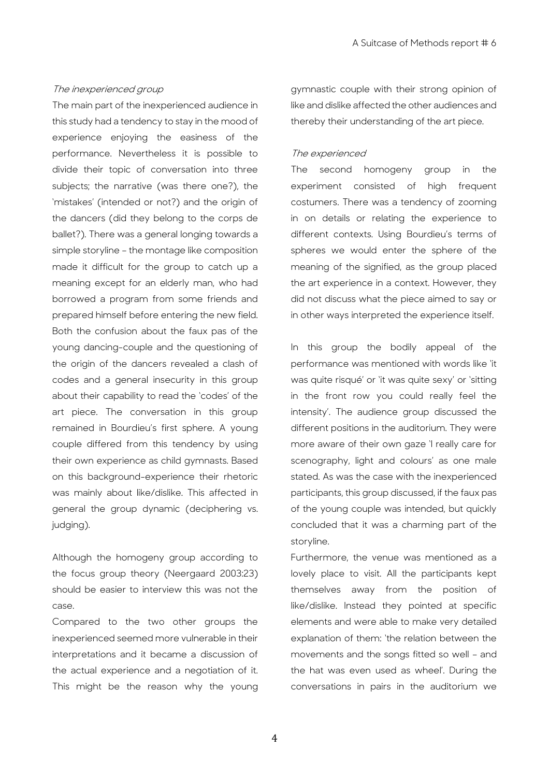#### The inexperienced group

The main part of the inexperienced audience in this study had a tendency to stay in the mood of experience enjoying the easiness of the performance. Nevertheless it is possible to divide their topic of conversation into three subjects; the narrative (was there one?), the 'mistakes' (intended or not?) and the origin of the dancers (did they belong to the corps de ballet?). There was a general longing towards a simple storyline – the montage like composition made it difficult for the group to catch up a meaning except for an elderly man, who had borrowed a program from some friends and prepared himself before entering the new field. Both the confusion about the faux pas of the young dancing-couple and the questioning of the origin of the dancers revealed a clash of codes and a general insecurity in this group about their capability to read the 'codes' of the art piece. The conversation in this group remained in Bourdieu's first sphere. A young couple differed from this tendency by using their own experience as child gymnasts. Based on this background-experience their rhetoric was mainly about like/dislike. This affected in general the group dynamic (deciphering vs. judging).

Although the homogeny group according to the focus group theory (Neergaard 2003:23) should be easier to interview this was not the case.

Compared to the two other groups the inexperienced seemed more vulnerable in their interpretations and it became a discussion of the actual experience and a negotiation of it. This might be the reason why the young gymnastic couple with their strong opinion of like and dislike affected the other audiences and thereby their understanding of the art piece.

### The experienced

The second homogeny group in the experiment consisted of high frequent costumers. There was a tendency of zooming in on details or relating the experience to different contexts. Using Bourdieu's terms of spheres we would enter the sphere of the meaning of the signified, as the group placed the art experience in a context. However, they did not discuss what the piece aimed to say or in other ways interpreted the experience itself.

In this group the bodily appeal of the performance was mentioned with words like 'it was quite risqué' or 'it was quite sexy' or 'sitting in the front row you could really feel the intensity'. The audience group discussed the different positions in the auditorium. They were more aware of their own gaze 'I really care for scenography, light and colours' as one male stated. As was the case with the inexperienced participants, this group discussed, if the faux pas of the young couple was intended, but quickly concluded that it was a charming part of the storyline.

Furthermore, the venue was mentioned as a lovely place to visit. All the participants kept themselves away from the position of like/dislike. Instead they pointed at specific elements and were able to make very detailed explanation of them: 'the relation between the movements and the songs fitted so well – and the hat was even used as wheel'. During the conversations in pairs in the auditorium we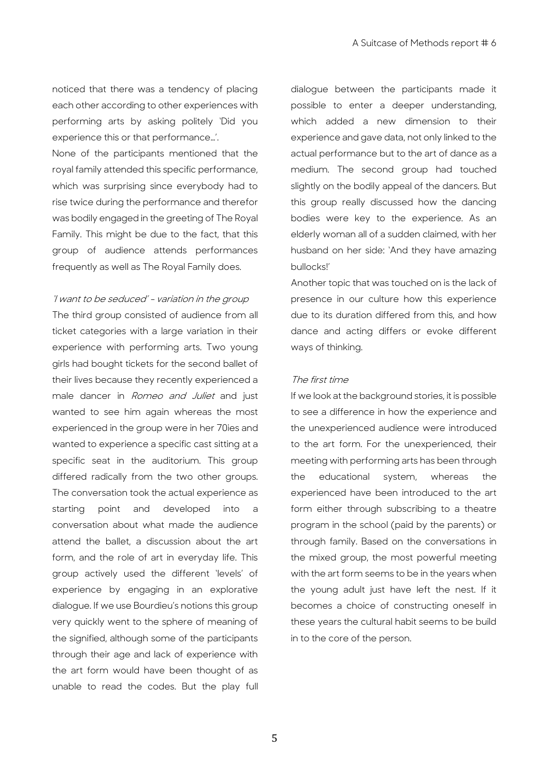noticed that there was a tendency of placing each other according to other experiences with performing arts by asking politely 'Did you experience this or that performance…'.

None of the participants mentioned that the royal family attended this specific performance, which was surprising since everybody had to rise twice during the performance and therefor was bodily engaged in the greeting of The Royal Family. This might be due to the fact, that this group of audience attends performances frequently as well as The Royal Family does.

### 'I want to be seduced' - variation in the group

The third group consisted of audience from all ticket categories with a large variation in their experience with performing arts. Two young girls had bought tickets for the second ballet of their lives because they recently experienced a male dancer in Romeo and Juliet and just wanted to see him again whereas the most experienced in the group were in her 70ies and wanted to experience a specific cast sitting at a specific seat in the auditorium. This group differed radically from the two other groups. The conversation took the actual experience as starting point and developed into a conversation about what made the audience attend the ballet, a discussion about the art form, and the role of art in everyday life. This group actively used the different 'levels' of experience by engaging in an explorative dialogue. If we use Bourdieu's notions this group very quickly went to the sphere of meaning of the signified, although some of the participants through their age and lack of experience with the art form would have been thought of as unable to read the codes. But the play full

dialogue between the participants made it possible to enter a deeper understanding, which added a new dimension to their experience and gave data, not only linked to the actual performance but to the art of dance as a medium. The second group had touched slightly on the bodily appeal of the dancers. But this group really discussed how the dancing bodies were key to the experience. As an elderly woman all of a sudden claimed, with her husband on her side: 'And they have amazing bullocks!'

Another topic that was touched on is the lack of presence in our culture how this experience due to its duration differed from this, and how dance and acting differs or evoke different ways of thinking.

### The first time

If we look at the background stories, it is possible to see a difference in how the experience and the unexperienced audience were introduced to the art form. For the unexperienced, their meeting with performing arts has been through the educational system, whereas the experienced have been introduced to the art form either through subscribing to a theatre program in the school (paid by the parents) or through family. Based on the conversations in the mixed group, the most powerful meeting with the art form seems to be in the years when the young adult just have left the nest. If it becomes a choice of constructing oneself in these years the cultural habit seems to be build in to the core of the person.